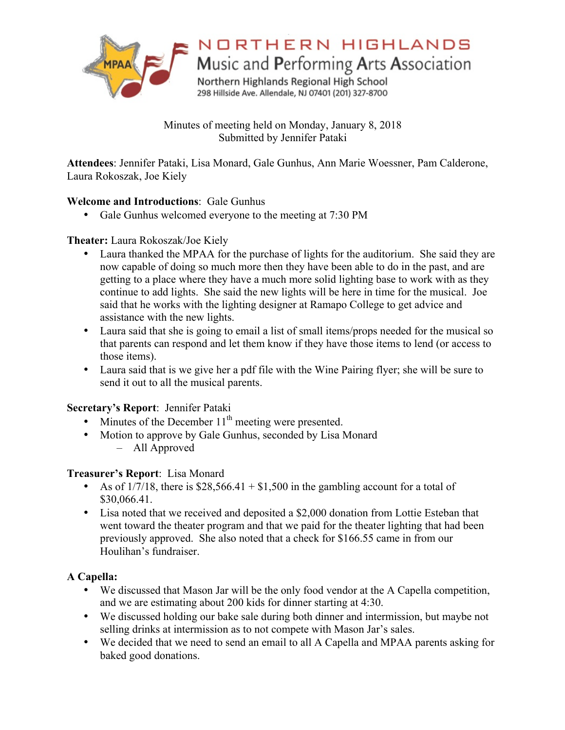

NORTHERN HIGHLANDS

Music and Performing Arts Association

Northern Highlands Regional High School 298 Hillside Ave. Allendale, NJ 07401 (201) 327-8700

Minutes of meeting held on Monday, January 8, 2018 Submitted by Jennifer Pataki

**Attendees**: Jennifer Pataki, Lisa Monard, Gale Gunhus, Ann Marie Woessner, Pam Calderone, Laura Rokoszak, Joe Kiely

### **Welcome and Introductions**: Gale Gunhus

• Gale Gunhus welcomed everyone to the meeting at 7:30 PM

### **Theater:** Laura Rokoszak/Joe Kiely

- Laura thanked the MPAA for the purchase of lights for the auditorium. She said they are now capable of doing so much more then they have been able to do in the past, and are getting to a place where they have a much more solid lighting base to work with as they continue to add lights. She said the new lights will be here in time for the musical. Joe said that he works with the lighting designer at Ramapo College to get advice and assistance with the new lights.
- Laura said that she is going to email a list of small items/props needed for the musical so that parents can respond and let them know if they have those items to lend (or access to those items).
- Laura said that is we give her a pdf file with the Wine Pairing flyer; she will be sure to send it out to all the musical parents.

# **Secretary's Report**: Jennifer Pataki

- Minutes of the December  $11<sup>th</sup>$  meeting were presented.
- Motion to approve by Gale Gunhus, seconded by Lisa Monard – All Approved

### **Treasurer's Report**: Lisa Monard

- As of  $1/7/18$ , there is \$28,566.41 + \$1,500 in the gambling account for a total of \$30,066.41.
- Lisa noted that we received and deposited a \$2,000 donation from Lottie Esteban that went toward the theater program and that we paid for the theater lighting that had been previously approved. She also noted that a check for \$166.55 came in from our Houlihan's fundraiser.

# **A Capella:**

- We discussed that Mason Jar will be the only food vendor at the A Capella competition, and we are estimating about 200 kids for dinner starting at 4:30.
- We discussed holding our bake sale during both dinner and intermission, but maybe not selling drinks at intermission as to not compete with Mason Jar's sales.
- We decided that we need to send an email to all A Capella and MPAA parents asking for baked good donations.